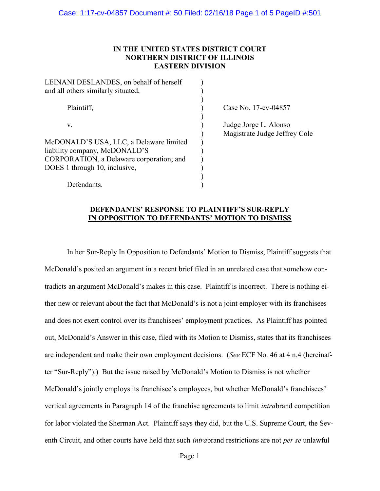### IN THE UNITED STATES DISTRICT COURT NORTHERN DISTRICT OF ILLINOIS EASTERN DIVISION

| LEINANI DESLANDES, on behalf of herself<br>and all others similarly situated, |                |
|-------------------------------------------------------------------------------|----------------|
| Plaintiff,                                                                    | Case l         |
| v.                                                                            | Judge<br>Magis |
| McDONALD'S USA, LLC, a Delaware limited<br>liability company, McDONALD'S      |                |
| CORPORATION, a Delaware corporation; and                                      |                |
| DOES 1 through 10, inclusive,                                                 |                |
| Defendants.                                                                   |                |

No. 17-cv-04857

Jorge L. Alonso strate Judge Jeffrey Cole

#### DEFENDANTS' RESPONSE TO PLAINTIFF'S SUR-REPLY IN OPPOSITION TO DEFENDANTS' MOTION TO DISMISS

In her Sur-Reply In Opposition to Defendants' Motion to Dismiss, Plaintiff suggests that McDonald's posited an argument in a recent brief filed in an unrelated case that somehow contradicts an argument McDonald's makes in this case. Plaintiff is incorrect. There is nothing either new or relevant about the fact that McDonald's is not a joint employer with its franchisees and does not exert control over its franchisees' employment practices. As Plaintiff has pointed out, McDonald's Answer in this case, filed with its Motion to Dismiss, states that its franchisees are independent and make their own employment decisions. (See ECF No. 46 at 4 n.4 (hereinafter "Sur-Reply").) But the issue raised by McDonald's Motion to Dismiss is not whether McDonald's jointly employs its franchisee's employees, but whether McDonald's franchisees' vertical agreements in Paragraph 14 of the franchise agreements to limit intrabrand competition for labor violated the Sherman Act. Plaintiff says they did, but the U.S. Supreme Court, the Seventh Circuit, and other courts have held that such *intra*brand restrictions are not *per se* unlawful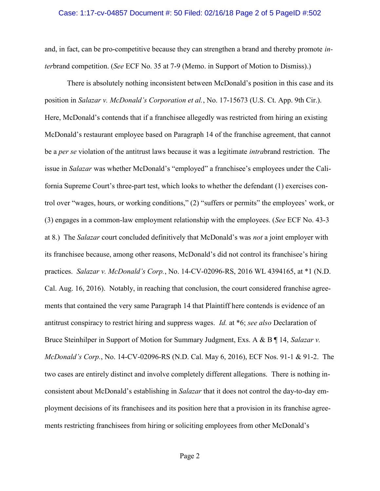#### Case: 1:17-cv-04857 Document #: 50 Filed: 02/16/18 Page 2 of 5 PageID #:502

and, in fact, can be pro-competitive because they can strengthen a brand and thereby promote interbrand competition. (See ECF No. 35 at 7-9 (Memo. in Support of Motion to Dismiss).)

There is absolutely nothing inconsistent between McDonald's position in this case and its position in Salazar v. McDonald's Corporation et al., No. 17-15673 (U.S. Ct. App. 9th Cir.). Here, McDonald's contends that if a franchisee allegedly was restricted from hiring an existing McDonald's restaurant employee based on Paragraph 14 of the franchise agreement, that cannot be a *per se* violation of the antitrust laws because it was a legitimate *intra*brand restriction. The issue in Salazar was whether McDonald's "employed" a franchisee's employees under the California Supreme Court's three-part test, which looks to whether the defendant (1) exercises control over "wages, hours, or working conditions," (2) "suffers or permits" the employees' work, or (3) engages in a common-law employment relationship with the employees. (See ECF No. 43-3 at 8.) The *Salazar* court concluded definitively that McDonald's was *not* a joint employer with its franchisee because, among other reasons, McDonald's did not control its franchisee's hiring practices. Salazar v. McDonald's Corp., No. 14-CV-02096-RS, 2016 WL 4394165, at \*1 (N.D. Cal. Aug. 16, 2016). Notably, in reaching that conclusion, the court considered franchise agreements that contained the very same Paragraph 14 that Plaintiff here contends is evidence of an antitrust conspiracy to restrict hiring and suppress wages. Id. at \*6; see also Declaration of Bruce Steinhilper in Support of Motion for Summary Judgment, Exs. A & B | 14, Salazar v. McDonald's Corp., No. 14-CV-02096-RS (N.D. Cal. May 6, 2016), ECF Nos. 91-1 & 91-2. The two cases are entirely distinct and involve completely different allegations. There is nothing inconsistent about McDonald's establishing in Salazar that it does not control the day-to-day employment decisions of its franchisees and its position here that a provision in its franchise agreements restricting franchisees from hiring or soliciting employees from other McDonald's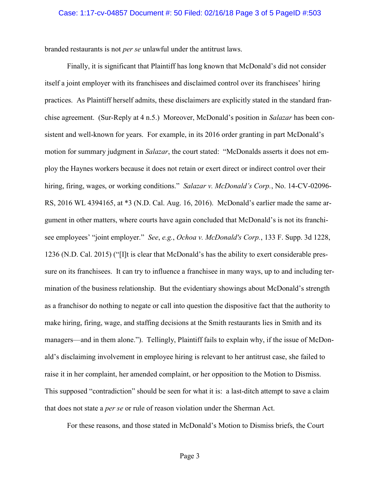#### Case: 1:17-cv-04857 Document #: 50 Filed: 02/16/18 Page 3 of 5 PageID #:503

branded restaurants is not per se unlawful under the antitrust laws.

Finally, it is significant that Plaintiff has long known that McDonald's did not consider itself a joint employer with its franchisees and disclaimed control over its franchisees' hiring practices. As Plaintiff herself admits, these disclaimers are explicitly stated in the standard franchise agreement. (Sur-Reply at 4 n.5.) Moreover, McDonald's position in Salazar has been consistent and well-known for years. For example, in its 2016 order granting in part McDonald's motion for summary judgment in Salazar, the court stated: "McDonalds asserts it does not employ the Haynes workers because it does not retain or exert direct or indirect control over their hiring, firing, wages, or working conditions." Salazar v. McDonald's Corp., No. 14-CV-02096-RS, 2016 WL 4394165, at \*3 (N.D. Cal. Aug. 16, 2016). McDonald's earlier made the same argument in other matters, where courts have again concluded that McDonald's is not its franchisee employees' "joint employer." See, e.g., Ochoa v. McDonald's Corp., 133 F. Supp. 3d 1228, 1236 (N.D. Cal. 2015) ("[I]t is clear that McDonald's has the ability to exert considerable pressure on its franchisees. It can try to influence a franchisee in many ways, up to and including termination of the business relationship. But the evidentiary showings about McDonald's strength as a franchisor do nothing to negate or call into question the dispositive fact that the authority to make hiring, firing, wage, and staffing decisions at the Smith restaurants lies in Smith and its managers—and in them alone."). Tellingly, Plaintiff fails to explain why, if the issue of McDonald's disclaiming involvement in employee hiring is relevant to her antitrust case, she failed to raise it in her complaint, her amended complaint, or her opposition to the Motion to Dismiss. This supposed "contradiction" should be seen for what it is: a last-ditch attempt to save a claim that does not state a per se or rule of reason violation under the Sherman Act.

For these reasons, and those stated in McDonald's Motion to Dismiss briefs, the Court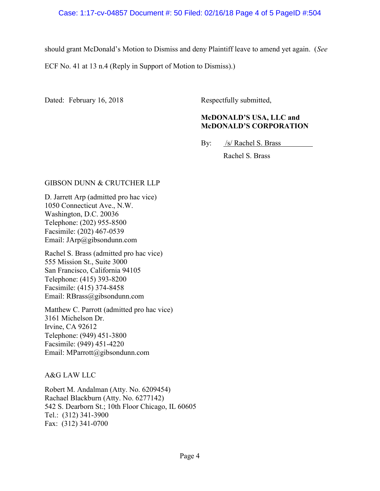should grant McDonald's Motion to Dismiss and deny Plaintiff leave to amend yet again. (See

ECF No. 41 at 13 n.4 (Reply in Support of Motion to Dismiss).)

Dated: February 16, 2018 Respectfully submitted,

## McDONALD'S USA, LLC and McDONALD'S CORPORATION

By: /s/ Rachel S. Brass

Rachel S. Brass

### GIBSON DUNN & CRUTCHER LLP

D. Jarrett Arp (admitted pro hac vice) 1050 Connecticut Ave., N.W. Washington, D.C. 20036 Telephone: (202) 955-8500 Facsimile: (202) 467-0539 Email: JArp@gibsondunn.com

Rachel S. Brass (admitted pro hac vice) 555 Mission St., Suite 3000 San Francisco, California 94105 Telephone: (415) 393-8200 Facsimile: (415) 374-8458 Email: RBrass@gibsondunn.com

Matthew C. Parrott (admitted pro hac vice) 3161 Michelson Dr. Irvine, CA 92612 Telephone: (949) 451-3800 Facsimile: (949) 451-4220 Email: MParrott@gibsondunn.com

A&G LAW LLC

Robert M. Andalman (Atty. No. 6209454) Rachael Blackburn (Atty. No. 6277142) 542 S. Dearborn St.; 10th Floor Chicago, IL 60605 Tel.: (312) 341-3900 Fax: (312) 341-0700